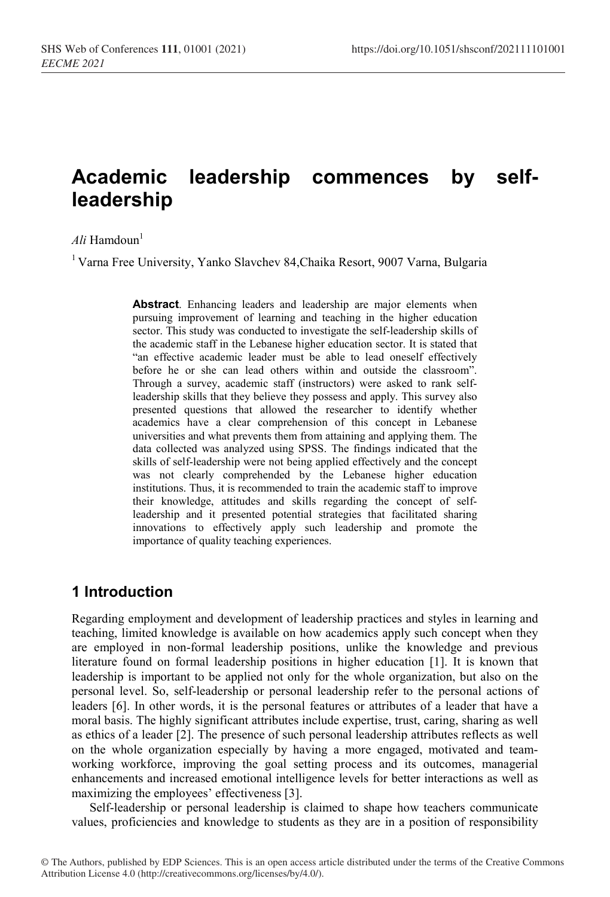# **Academic leadership commences by selfleadership**

#### $Ali$  Hamdoun<sup>1</sup>

<sup>1</sup> Varna Free University, Yanko Slavchev 84, Chaika Resort, 9007 Varna, Bulgaria

**Abstract**. Enhancing leaders and leadership are major elements when pursuing improvement of learning and teaching in the higher education sector. This study was conducted to investigate the self-leadership skills of the academic staff in the Lebanese higher education sector. It is stated that "an effective academic leader must be able to lead oneself effectively before he or she can lead others within and outside the classroom". Through a survey, academic staff (instructors) were asked to rank selfleadership skills that they believe they possess and apply. This survey also presented questions that allowed the researcher to identify whether academics have a clear comprehension of this concept in Lebanese universities and what prevents them from attaining and applying them. The data collected was analyzed using SPSS. The findings indicated that the skills of self-leadership were not being applied effectively and the concept was not clearly comprehended by the Lebanese higher education institutions. Thus, it is recommended to train the academic staff to improve their knowledge, attitudes and skills regarding the concept of selfleadership and it presented potential strategies that facilitated sharing innovations to effectively apply such leadership and promote the importance of quality teaching experiences.

# **1 Introduction**

Regarding employment and development of leadership practices and styles in learning and teaching, limited knowledge is available on how academics apply such concept when they are employed in non-formal leadership positions, unlike the knowledge and previous literature found on formal leadership positions in higher education [1]. It is known that leadership is important to be applied not only for the whole organization, but also on the personal level. So, self-leadership or personal leadership refer to the personal actions of leaders [6]. In other words, it is the personal features or attributes of a leader that have a moral basis. The highly significant attributes include expertise, trust, caring, sharing as well as ethics of a leader [2]. The presence of such personal leadership attributes reflects as well on the whole organization especially by having a more engaged, motivated and teamworking workforce, improving the goal setting process and its outcomes, managerial enhancements and increased emotional intelligence levels for better interactions as well as maximizing the employees' effectiveness [3].

Self-leadership or personal leadership is claimed to shape how teachers communicate values, proficiencies and knowledge to students as they are in a position of responsibility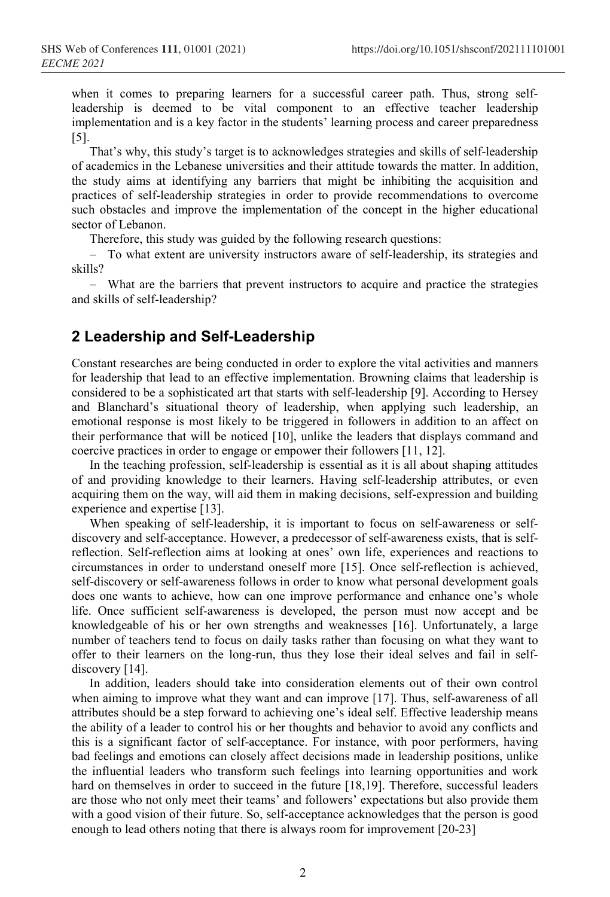when it comes to preparing learners for a successful career path. Thus, strong selfleadership is deemed to be vital component to an effective teacher leadership implementation and is a key factor in the students' learning process and career preparedness [5].

That's why, this study's target is to acknowledges strategies and skills of self-leadership of academics in the Lebanese universities and their attitude towards the matter. In addition, the study aims at identifying any barriers that might be inhibiting the acquisition and practices of self-leadership strategies in order to provide recommendations to overcome such obstacles and improve the implementation of the concept in the higher educational sector of Lebanon.

Therefore, this study was guided by the following research questions:

− To what extent are university instructors aware of self-leadership, its strategies and skills?

− What are the barriers that prevent instructors to acquire and practice the strategies and skills of self-leadership?

## **2 Leadership and Self-Leadership**

Constant researches are being conducted in order to explore the vital activities and manners for leadership that lead to an effective implementation. Browning claims that leadership is considered to be a sophisticated art that starts with self-leadership [9]. According to Hersey and Blanchard's situational theory of leadership, when applying such leadership, an emotional response is most likely to be triggered in followers in addition to an affect on their performance that will be noticed [10], unlike the leaders that displays command and coercive practices in order to engage or empower their followers [11, 12].

In the teaching profession, self-leadership is essential as it is all about shaping attitudes of and providing knowledge to their learners. Having self-leadership attributes, or even acquiring them on the way, will aid them in making decisions, self-expression and building experience and expertise [13].

When speaking of self-leadership, it is important to focus on self-awareness or selfdiscovery and self-acceptance. However, a predecessor of self-awareness exists, that is selfreflection. Self-reflection aims at looking at ones' own life, experiences and reactions to circumstances in order to understand oneself more [15]. Once self-reflection is achieved, self-discovery or self-awareness follows in order to know what personal development goals does one wants to achieve, how can one improve performance and enhance one's whole life. Once sufficient self-awareness is developed, the person must now accept and be knowledgeable of his or her own strengths and weaknesses [16]. Unfortunately, a large number of teachers tend to focus on daily tasks rather than focusing on what they want to offer to their learners on the long-run, thus they lose their ideal selves and fail in selfdiscovery [14].

In addition, leaders should take into consideration elements out of their own control when aiming to improve what they want and can improve [17]. Thus, self-awareness of all attributes should be a step forward to achieving one's ideal self. Effective leadership means the ability of a leader to control his or her thoughts and behavior to avoid any conflicts and this is a significant factor of self-acceptance. For instance, with poor performers, having bad feelings and emotions can closely affect decisions made in leadership positions, unlike the influential leaders who transform such feelings into learning opportunities and work hard on themselves in order to succeed in the future [18,19]. Therefore, successful leaders are those who not only meet their teams' and followers' expectations but also provide them with a good vision of their future. So, self-acceptance acknowledges that the person is good enough to lead others noting that there is always room for improvement [20-23]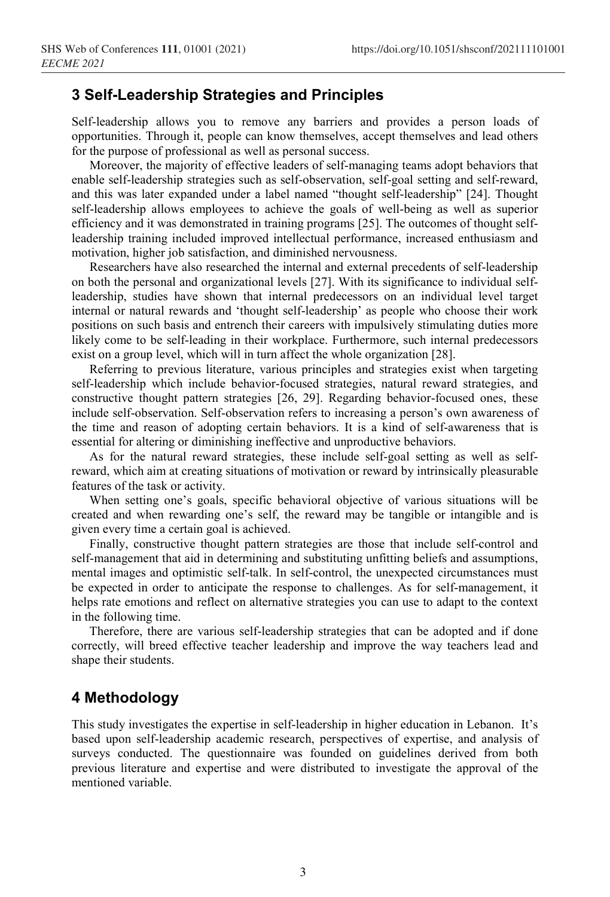# **3 Self-Leadership Strategies and Principles**

Self-leadership allows you to remove any barriers and provides a person loads of opportunities. Through it, people can know themselves, accept themselves and lead others for the purpose of professional as well as personal success.

Moreover, the majority of effective leaders of self-managing teams adopt behaviors that enable self-leadership strategies such as self-observation, self-goal setting and self-reward, and this was later expanded under a label named "thought self-leadership" [24]. Thought self-leadership allows employees to achieve the goals of well-being as well as superior efficiency and it was demonstrated in training programs [25]. The outcomes of thought selfleadership training included improved intellectual performance, increased enthusiasm and motivation, higher job satisfaction, and diminished nervousness.

Researchers have also researched the internal and external precedents of self-leadership on both the personal and organizational levels [27]. With its significance to individual selfleadership, studies have shown that internal predecessors on an individual level target internal or natural rewards and 'thought self-leadership' as people who choose their work positions on such basis and entrench their careers with impulsively stimulating duties more likely come to be self-leading in their workplace. Furthermore, such internal predecessors exist on a group level, which will in turn affect the whole organization [28].

Referring to previous literature, various principles and strategies exist when targeting self-leadership which include behavior-focused strategies, natural reward strategies, and constructive thought pattern strategies [26, 29]. Regarding behavior-focused ones, these include self-observation. Self-observation refers to increasing a person's own awareness of the time and reason of adopting certain behaviors. It is a kind of self-awareness that is essential for altering or diminishing ineffective and unproductive behaviors.

As for the natural reward strategies, these include self-goal setting as well as selfreward, which aim at creating situations of motivation or reward by intrinsically pleasurable features of the task or activity.

When setting one's goals, specific behavioral objective of various situations will be created and when rewarding one's self, the reward may be tangible or intangible and is given every time a certain goal is achieved.

Finally, constructive thought pattern strategies are those that include self-control and self-management that aid in determining and substituting unfitting beliefs and assumptions, mental images and optimistic self-talk. In self-control, the unexpected circumstances must be expected in order to anticipate the response to challenges. As for self-management, it helps rate emotions and reflect on alternative strategies you can use to adapt to the context in the following time.

Therefore, there are various self-leadership strategies that can be adopted and if done correctly, will breed effective teacher leadership and improve the way teachers lead and shape their students.

# **4 Methodology**

This study investigates the expertise in self-leadership in higher education in Lebanon. It's based upon self-leadership academic research, perspectives of expertise, and analysis of surveys conducted. The questionnaire was founded on guidelines derived from both previous literature and expertise and were distributed to investigate the approval of the mentioned variable.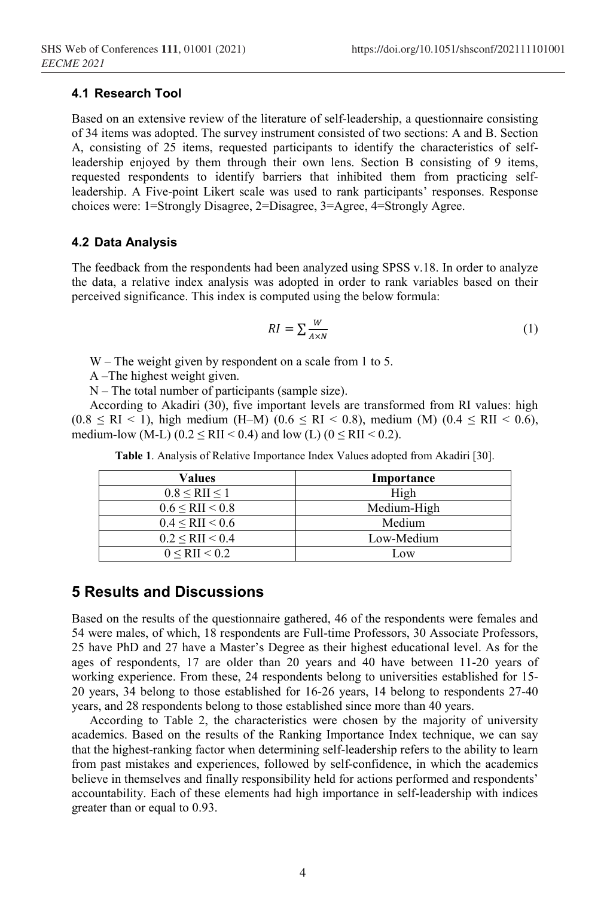#### **4.1 Research Tool**

Based on an extensive review of the literature of self-leadership, a questionnaire consisting of 34 items was adopted. The survey instrument consisted of two sections: A and B. Section A, consisting of 25 items, requested participants to identify the characteristics of selfleadership enjoyed by them through their own lens. Section B consisting of 9 items, requested respondents to identify barriers that inhibited them from practicing selfleadership. A Five-point Likert scale was used to rank participants' responses. Response choices were: 1=Strongly Disagree, 2=Disagree, 3=Agree, 4=Strongly Agree.

#### **4.2 Data Analysis**

The feedback from the respondents had been analyzed using SPSS v.18. In order to analyze the data, a relative index analysis was adopted in order to rank variables based on their perceived significance. This index is computed using the below formula:

$$
RI = \sum \frac{W}{A \times N} \tag{1}
$$

W – The weight given by respondent on a scale from 1 to 5.

A –The highest weight given.

N – The total number of participants (sample size).

According to Akadiri (30), five important levels are transformed from RI values: high  $(0.8 \leq R$ I < 1), high medium (H–M) ( $0.6 \leq R$ I < 0.8), medium (M) ( $0.4 \leq R$ II < 0.6), medium-low (M-L) (0.2  $\leq$  RII  $<$  0.4) and low (L) (0  $\leq$  RII  $<$  0.2).

| Values                  | Importance  |  |  |
|-------------------------|-------------|--|--|
| $0.8 <$ RII $\leq 1$    | High        |  |  |
| $0.6 \leq RII \leq 0.8$ | Medium-High |  |  |
| $0.4 \leq RII \leq 0.6$ | Medium      |  |  |
| $0.2 \leq RII \leq 0.4$ | Low-Medium  |  |  |
| 0 < RII < 0.2           | $-0W$       |  |  |

**Table 1**. Analysis of Relative Importance Index Values adopted from Akadiri [30].

# **5 Results and Discussions**

Based on the results of the questionnaire gathered, 46 of the respondents were females and 54 were males, of which, 18 respondents are Full-time Professors, 30 Associate Professors, 25 have PhD and 27 have a Master's Degree as their highest educational level. As for the ages of respondents, 17 are older than 20 years and 40 have between 11-20 years of working experience. From these, 24 respondents belong to universities established for 15- 20 years, 34 belong to those established for 16-26 years, 14 belong to respondents 27-40 years, and 28 respondents belong to those established since more than 40 years.

According to Table 2, the characteristics were chosen by the majority of university academics. Based on the results of the Ranking Importance Index technique, we can say that the highest-ranking factor when determining self-leadership refers to the ability to learn from past mistakes and experiences, followed by self-confidence, in which the academics believe in themselves and finally responsibility held for actions performed and respondents' accountability. Each of these elements had high importance in self-leadership with indices greater than or equal to 0.93.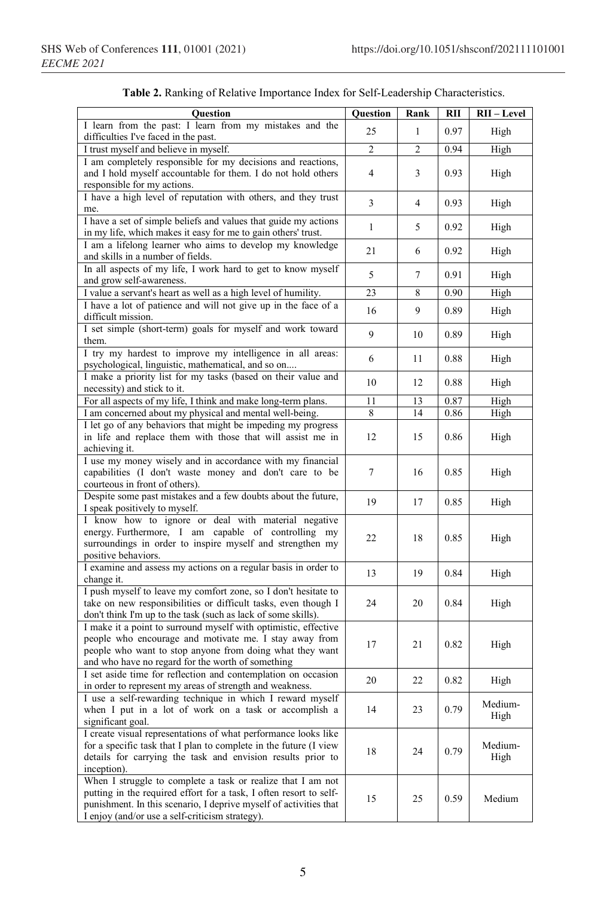| Question                                                                                                                                                                                                                                                  | <b>Question</b> | Rank | <b>RII</b> | RII-Level       |
|-----------------------------------------------------------------------------------------------------------------------------------------------------------------------------------------------------------------------------------------------------------|-----------------|------|------------|-----------------|
| I learn from the past: I learn from my mistakes and the<br>difficulties I've faced in the past.                                                                                                                                                           | 25              | 1    | 0.97       | High            |
| I trust myself and believe in myself.                                                                                                                                                                                                                     | 2               | 2    | 0.94       | High            |
| I am completely responsible for my decisions and reactions,                                                                                                                                                                                               |                 |      |            |                 |
| and I hold myself accountable for them. I do not hold others<br>responsible for my actions.                                                                                                                                                               | $\overline{4}$  | 3    | 0.93       | High            |
| I have a high level of reputation with others, and they trust<br>me.                                                                                                                                                                                      | 3               | 4    | 0.93       | High            |
| I have a set of simple beliefs and values that guide my actions<br>in my life, which makes it easy for me to gain others' trust.                                                                                                                          | 1               | 5    | 0.92       | High            |
| I am a lifelong learner who aims to develop my knowledge<br>and skills in a number of fields.                                                                                                                                                             | 21              | 6    | 0.92       | High            |
| In all aspects of my life, I work hard to get to know myself<br>and grow self-awareness.                                                                                                                                                                  | 5               | 7    | 0.91       | High            |
| I value a servant's heart as well as a high level of humility.                                                                                                                                                                                            | 23              | 8    | 0.90       | High            |
| I have a lot of patience and will not give up in the face of a<br>difficult mission.                                                                                                                                                                      | 16              | 9    | 0.89       | High            |
| I set simple (short-term) goals for myself and work toward<br>them.                                                                                                                                                                                       | 9               | 10   | 0.89       | High            |
| I try my hardest to improve my intelligence in all areas:<br>psychological, linguistic, mathematical, and so on                                                                                                                                           | 6               | 11   | 0.88       | High            |
| I make a priority list for my tasks (based on their value and<br>necessity) and stick to it.                                                                                                                                                              | 10              | 12   | 0.88       | High            |
| For all aspects of my life, I think and make long-term plans.                                                                                                                                                                                             | 11              | 13   | 0.87       | High            |
| I am concerned about my physical and mental well-being.                                                                                                                                                                                                   | 8               | 14   | 0.86       | High            |
| I let go of any behaviors that might be impeding my progress<br>in life and replace them with those that will assist me in<br>achieving it.                                                                                                               | 12              | 15   | 0.86       | High            |
| I use my money wisely and in accordance with my financial<br>capabilities (I don't waste money and don't care to be<br>courteous in front of others).                                                                                                     | 7               | 16   | 0.85       | High            |
| Despite some past mistakes and a few doubts about the future,<br>I speak positively to myself.                                                                                                                                                            | 19              | 17   | 0.85       | High            |
| I know how to ignore or deal with material negative<br>energy. Furthermore, I am capable of controlling my<br>surroundings in order to inspire myself and strengthen my<br>positive behaviors.                                                            | 22              | 18   | 0.85       | High            |
| I examine and assess my actions on a regular basis in order to<br>change it.                                                                                                                                                                              | 13              | 19   | 0.84       | High            |
| I push myself to leave my comfort zone, so I don't hesitate to<br>take on new responsibilities or difficult tasks, even though I<br>don't think I'm up to the task (such as lack of some skills).                                                         | 24              | 20   | 0.84       | High            |
| I make it a point to surround myself with optimistic, effective<br>people who encourage and motivate me. I stay away from<br>people who want to stop anyone from doing what they want<br>and who have no regard for the worth of something                | 17              | 21   | 0.82       | High            |
| I set aside time for reflection and contemplation on occasion<br>in order to represent my areas of strength and weakness.                                                                                                                                 | 20              | 22   | 0.82       | High            |
| I use a self-rewarding technique in which I reward myself<br>when I put in a lot of work on a task or accomplish a<br>significant goal.                                                                                                                   | 14              | 23   | 0.79       | Medium-<br>High |
| I create visual representations of what performance looks like<br>for a specific task that I plan to complete in the future (I view<br>details for carrying the task and envision results prior to<br>inception).                                         | 18              | 24   | 0.79       | Medium-<br>High |
| When I struggle to complete a task or realize that I am not<br>putting in the required effort for a task, I often resort to self-<br>punishment. In this scenario, I deprive myself of activities that<br>I enjoy (and/or use a self-criticism strategy). | 15              | 25   | 0.59       | Medium          |

|  |  | Table 2. Ranking of Relative Importance Index for Self-Leadership Characteristics. |
|--|--|------------------------------------------------------------------------------------|
|--|--|------------------------------------------------------------------------------------|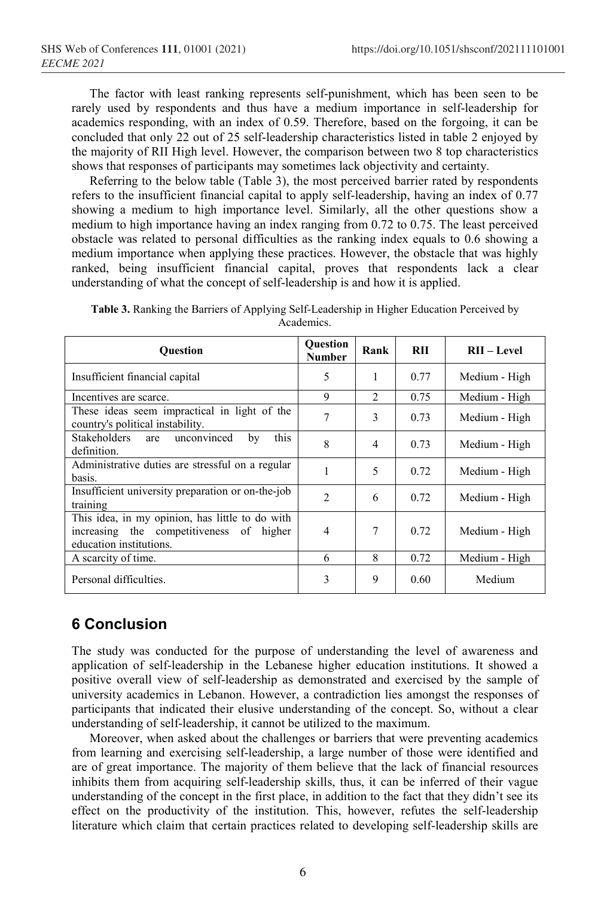The factor with least ranking represents self-punishment, which has been seen to be rarely used by respondents and thus have a medium importance in self-leadership for academics responding, with an index of 0.59. Therefore, based on the forgoing, it can be concluded that only 22 out of 25 self-leadership characteristics listed in table 2 enjoyed by the majority of RII High level. However, the comparison between two 8 top characteristics shows that responses of participants may sometimes lack objectivity and certainty.

Referring to the below table (Table 3), the most perceived barrier rated by respondents refers to the insufficient financial capital to apply self-leadership, having an index of 0.77 showing a medium to high importance level. Similarly, all the other questions show a medium to high importance having an index ranging from 0.72 to 0.75. The least perceived obstacle was related to personal difficulties as the ranking index equals to 0.6 showing a medium importance when applying these practices. However, the obstacle that was highly ranked, being insufficient financial capital, proves that respondents lack a clear understanding of what the concept of self-leadership is and how it is applied.

| <b>Ouestion</b>                                                                                                        | <b>Question</b><br>Number | Rank           | RH   | $RII - Level$ |
|------------------------------------------------------------------------------------------------------------------------|---------------------------|----------------|------|---------------|
| Insufficient financial capital                                                                                         | 5                         | 1              | 0.77 | Medium - High |
| Incentives are scarce.                                                                                                 | 9                         | $\mathfrak{D}$ | 0.75 | Medium - High |
| These ideas seem impractical in light of the<br>country's political instability.                                       | 7                         | 3              | 0.73 | Medium - High |
| Stakeholders are<br>unconvinced<br>this<br>by<br>definition.                                                           | 8                         | 4              | 0.73 | Medium - High |
| Administrative duties are stressful on a regular<br>basis.                                                             | 1                         | 5              | 0.72 | Medium - High |
| Insufficient university preparation or on-the-job<br>training                                                          | $\mathfrak{D}$            | 6              | 0.72 | Medium - High |
| This idea, in my opinion, has little to do with<br>increasing the competitiveness of higher<br>education institutions. | 4                         | 7              | 0.72 | Medium - High |
| A scarcity of time.                                                                                                    | 6                         | 8              | 0.72 | Medium - High |
| Personal difficulties.                                                                                                 | 3                         | 9              | 0.60 | Medium        |

**Table 3.** Ranking the Barriers of Applying Self-Leadership in Higher Education Perceived by Academics.

# **6 Conclusion**

The study was conducted for the purpose of understanding the level of awareness and application of self-leadership in the Lebanese higher education institutions. It showed a positive overall view of self-leadership as demonstrated and exercised by the sample of university academics in Lebanon. However, a contradiction lies amongst the responses of participants that indicated their elusive understanding of the concept. So, without a clear understanding of self-leadership, it cannot be utilized to the maximum.

Moreover, when asked about the challenges or barriers that were preventing academics from learning and exercising self-leadership, a large number of those were identified and are of great importance. The majority of them believe that the lack of financial resources inhibits them from acquiring self-leadership skills, thus, it can be inferred of their vague understanding of the concept in the first place, in addition to the fact that they didn't see its effect on the productivity of the institution. This, however, refutes the self-leadership literature which claim that certain practices related to developing self-leadership skills are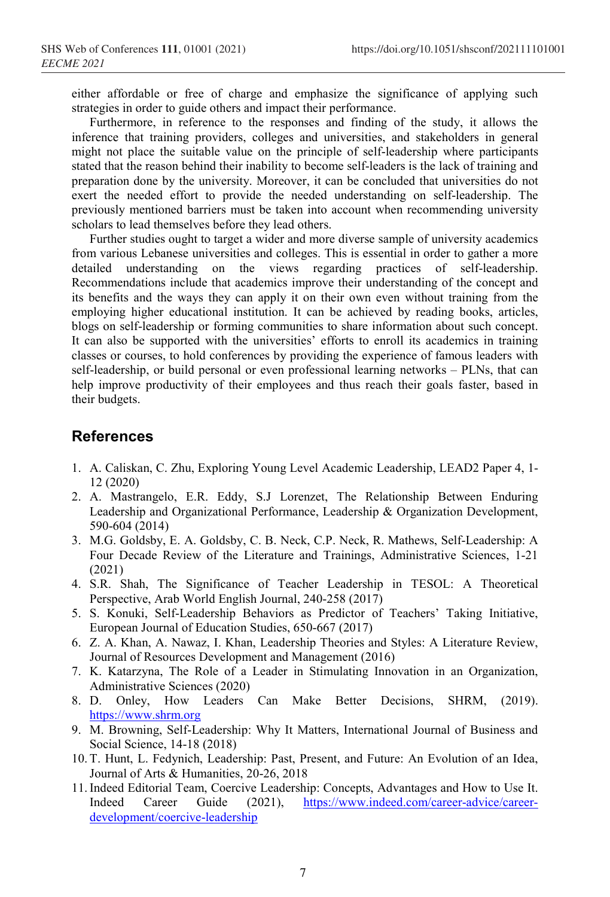either affordable or free of charge and emphasize the significance of applying such strategies in order to guide others and impact their performance.

Furthermore, in reference to the responses and finding of the study, it allows the inference that training providers, colleges and universities, and stakeholders in general might not place the suitable value on the principle of self-leadership where participants stated that the reason behind their inability to become self-leaders is the lack of training and preparation done by the university. Moreover, it can be concluded that universities do not exert the needed effort to provide the needed understanding on self-leadership. The previously mentioned barriers must be taken into account when recommending university scholars to lead themselves before they lead others.

Further studies ought to target a wider and more diverse sample of university academics from various Lebanese universities and colleges. This is essential in order to gather a more detailed understanding on the views regarding practices of self-leadership. Recommendations include that academics improve their understanding of the concept and its benefits and the ways they can apply it on their own even without training from the employing higher educational institution. It can be achieved by reading books, articles, blogs on self-leadership or forming communities to share information about such concept. It can also be supported with the universities' efforts to enroll its academics in training classes or courses, to hold conferences by providing the experience of famous leaders with self-leadership, or build personal or even professional learning networks – PLNs, that can help improve productivity of their employees and thus reach their goals faster, based in their budgets.

# **References**

- 1. A. Caliskan, C. Zhu, Exploring Young Level Academic Leadership, LEAD2 Paper 4, 1- 12 (2020)
- 2. A. Mastrangelo, E.R. Eddy, S.J Lorenzet, The Relationship Between Enduring Leadership and Organizational Performance, Leadership & Organization Development, 590-604 (2014)
- 3. M.G. Goldsby, E. A. Goldsby, C. B. Neck, C.P. Neck, R. Mathews, Self-Leadership: A Four Decade Review of the Literature and Trainings, Administrative Sciences, 1-21 (2021)
- 4. S.R. Shah, The Significance of Teacher Leadership in TESOL: A Theoretical Perspective, Arab World English Journal, 240-258 (2017)
- 5. S. Konuki, Self-Leadership Behaviors as Predictor of Teachers' Taking Initiative, European Journal of Education Studies, 650-667 (2017)
- 6. Z. A. Khan, A. Nawaz, I. Khan, Leadership Theories and Styles: A Literature Review, Journal of Resources Development and Management (2016)
- 7. K. Katarzyna, The Role of a Leader in Stimulating Innovation in an Organization, Administrative Sciences (2020)
- 8. D. Onley, How Leaders Can Make Better Decisions, SHRM, (2019). [https://www.shrm.org](https://www.shrm.org/)
- 9. M. Browning, Self-Leadership: Why It Matters, International Journal of Business and Social Science, 14-18 (2018)
- 10. T. Hunt, L. Fedynich, Leadership: Past, Present, and Future: An Evolution of an Idea, Journal of Arts & Humanities, 20-26, 2018
- 11.Indeed Editorial Team, Coercive Leadership: Concepts, Advantages and How to Use It. Indeed Career Guide (2021), [https://www.indeed.com/career-advice/career](https://www.indeed.com/career-advice/career-development/coercive-leadership)[development/coercive-leadership](https://www.indeed.com/career-advice/career-development/coercive-leadership)